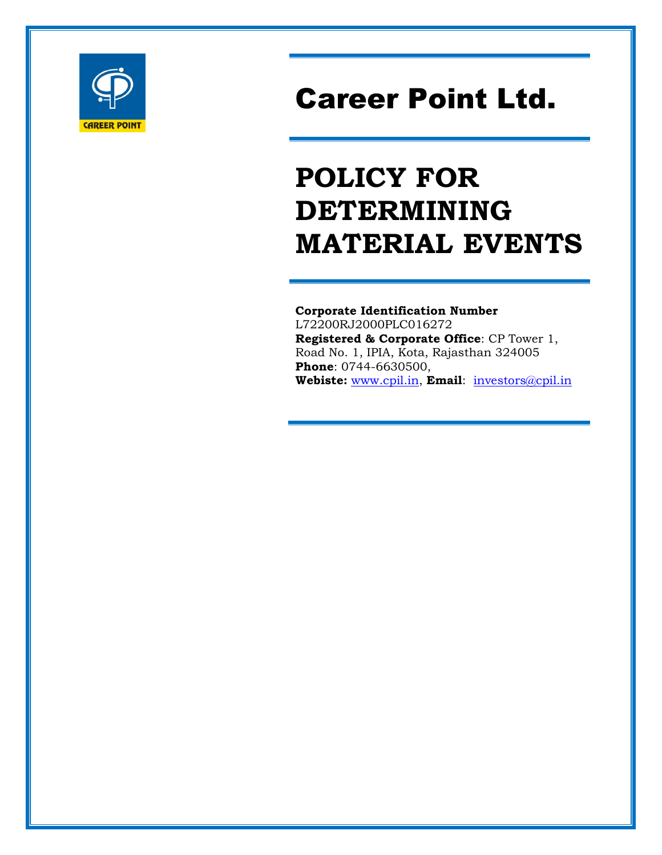

# Career Point Ltd.

# POLICY FOR DETERMINING MATERIAL EVENTS

Corporate Identification Number L72200RJ2000PLC016272 Registered & Corporate Office: CP Tower 1, Road No. 1, IPIA, Kota, Rajasthan 324005 Phone: 0744-6630500, Webiste: www.cpil.in, Email: investors@cpil.in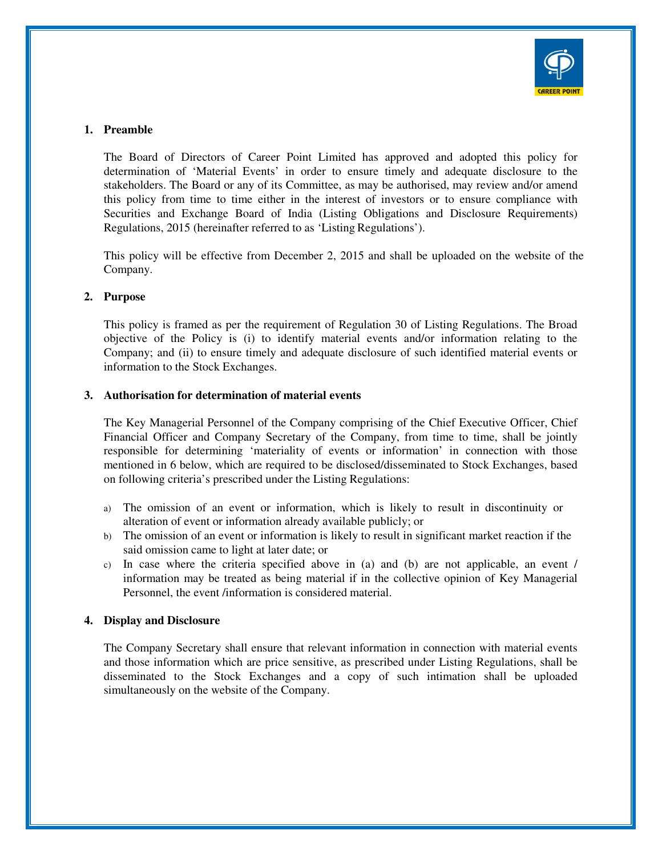

# **1. Preamble**

The Board of Directors of Career Point Limited has approved and adopted this policy for determination of 'Material Events' in order to ensure timely and adequate disclosure to the stakeholders. The Board or any of its Committee, as may be authorised, may review and/or amend this policy from time to time either in the interest of investors or to ensure compliance with Securities and Exchange Board of India (Listing Obligations and Disclosure Requirements) Regulations, 2015 (hereinafter referred to as 'Listing Regulations').

This policy will be effective from December 2, 2015 and shall be uploaded on the website of the Company.

#### **2. Purpose**

This policy is framed as per the requirement of Regulation 30 of Listing Regulations. The Broad objective of the Policy is (i) to identify material events and/or information relating to the Company; and (ii) to ensure timely and adequate disclosure of such identified material events or information to the Stock Exchanges.

#### **3. Authorisation for determination of material events**

The Key Managerial Personnel of the Company comprising of the Chief Executive Officer, Chief Financial Officer and Company Secretary of the Company, from time to time, shall be jointly responsible for determining 'materiality of events or information' in connection with those mentioned in 6 below, which are required to be disclosed/disseminated to Stock Exchanges, based on following criteria's prescribed under the Listing Regulations:

- a) The omission of an event or information, which is likely to result in discontinuity or alteration of event or information already available publicly; or
- b) The omission of an event or information is likely to result in significant market reaction if the said omission came to light at later date; or
- c) In case where the criteria specified above in (a) and (b) are not applicable, an event / information may be treated as being material if in the collective opinion of Key Managerial Personnel, the event /information is considered material.

#### **4. Display and Disclosure**

The Company Secretary shall ensure that relevant information in connection with material events and those information which are price sensitive, as prescribed under Listing Regulations, shall be disseminated to the Stock Exchanges and a copy of such intimation shall be uploaded simultaneously on the website of the Company.